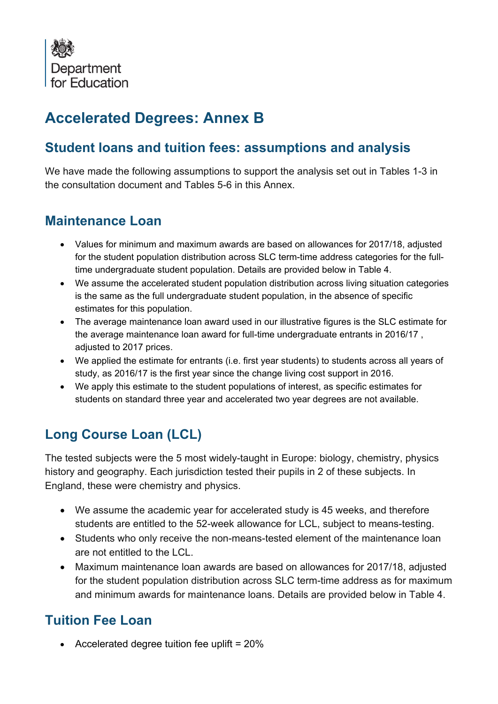

# **Accelerated Degrees: Annex B**

### **Student loans and tuition fees: assumptions and analysis**

We have made the following assumptions to support the analysis set out in Tables 1-3 in the consultation document and Tables 5-6 in this Annex.

#### **Maintenance Loan**

- Values for minimum and maximum awards are based on allowances for 2017/18, adjusted for the student population distribution across SLC term-time address categories for the fulltime undergraduate student population. Details are provided below in Table 4.
- We assume the accelerated student population distribution across living situation categories is the same as the full undergraduate student population, in the absence of specific estimates for this population.
- The average maintenance loan award used in our illustrative figures is the SLC estimate for the average maintenance loan award for full-time undergraduate entrants in 2016/17 , adjusted to 2017 prices.
- We applied the estimate for entrants (i.e. first year students) to students across all years of study, as 2016/17 is the first year since the change living cost support in 2016.
- We apply this estimate to the student populations of interest, as specific estimates for students on standard three year and accelerated two year degrees are not available.

## **Long Course Loan (LCL)**

The tested subjects were the 5 most widely-taught in Europe: biology, chemistry, physics history and geography. Each jurisdiction tested their pupils in 2 of these subjects. In England, these were chemistry and physics.

- We assume the academic year for accelerated study is 45 weeks, and therefore students are entitled to the 52-week allowance for LCL, subject to means-testing.
- Students who only receive the non-means-tested element of the maintenance loan are not entitled to the LCL.
- Maximum maintenance loan awards are based on allowances for 2017/18, adjusted for the student population distribution across SLC term-time address as for maximum and minimum awards for maintenance loans. Details are provided below in Table 4.

## **Tuition Fee Loan**

• Accelerated degree tuition fee uplift = 20%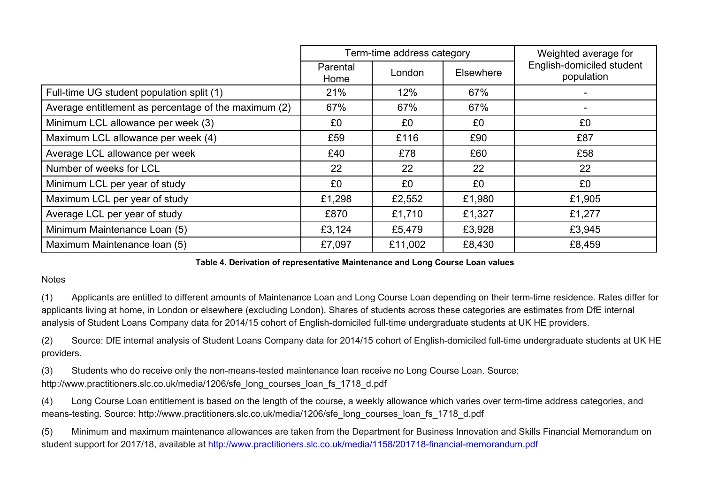|                                                      |                  | Term-time address category | Weighted average for |                                         |
|------------------------------------------------------|------------------|----------------------------|----------------------|-----------------------------------------|
|                                                      | Parental<br>Home | London                     | <b>Elsewhere</b>     | English-domiciled student<br>population |
| Full-time UG student population split (1)            | 21%              | 12%                        | 67%                  |                                         |
| Average entitlement as percentage of the maximum (2) | 67%              | 67%                        | 67%                  |                                         |
| Minimum LCL allowance per week (3)                   | £0               | £0                         | £0                   | £0                                      |
| Maximum LCL allowance per week (4)                   | £59              | £116                       | £90                  | £87                                     |
| Average LCL allowance per week                       | £40              | £78                        | £60                  | £58                                     |
| Number of weeks for LCL                              | 22               | 22                         | 22                   | 22                                      |
| Minimum LCL per year of study                        | £0               | £0                         | £0                   | £0                                      |
| Maximum LCL per year of study                        | £1,298           | £2,552                     | £1,980               | £1,905                                  |
| Average LCL per year of study                        | £870             | £1,710                     | £1,327               | £1,277                                  |
| Minimum Maintenance Loan (5)                         | £3,124           | £5,479                     | £3,928               | £3,945                                  |
| Maximum Maintenance Ioan (5)                         | £7,097           | £11,002                    | £8,430               | £8,459                                  |

#### **Table 4. Derivation of representative Maintenance and Long Course Loan values**

#### **Notes**

(1) Applicants are entitled to different amounts of Maintenance Loan and Long Course Loan depending on their term-time residence. Rates differ for applicants living at home, in London or elsewhere (excluding London). Shares of students across these categories are estimates from DfE internal analysis of Student Loans Company data for 2014/15 cohort of English-domiciled full-time undergraduate students at UK HE providers.

(2) Source: DfE internal analysis of Student Loans Company data for 2014/15 cohort of English-domiciled full-time undergraduate students at UK HE providers.

(3) Students who do receive only the non-means-tested maintenance loan receive no Long Course Loan. Source: http://www.practitioners.slc.co.uk/media/1206/sfe\_long\_courses\_loan\_fs\_1718\_d.pdf

(4) Long Course Loan entitlement is based on the length of the course, a weekly allowance which varies over term-time address categories, and means-testing. Source: http://www.practitioners.slc.co.uk/media/1206/sfe\_long\_courses\_loan\_fs\_1718\_d.pdf

(5) Minimum and maximum maintenance allowances are taken from the Department for Business Innovation and Skills Financial Memorandum on student support for 2017/18, available at<http://www.practitioners.slc.co.uk/media/1158/201718-financial-memorandum.pdf>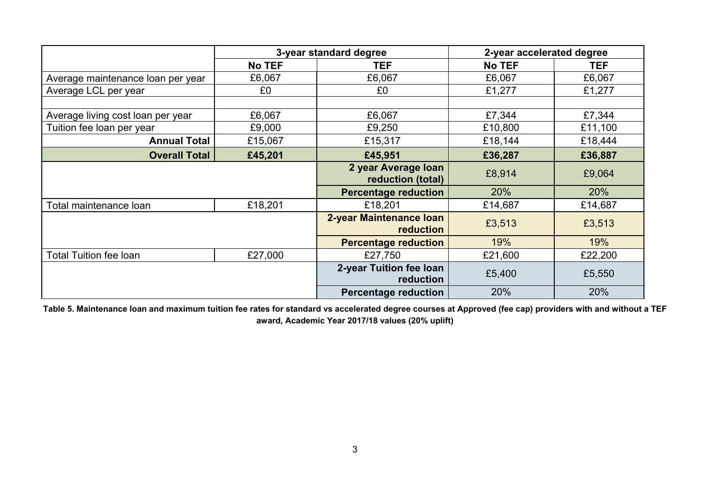|                                   | 3-year standard degree |                                          | 2-year accelerated degree |            |  |
|-----------------------------------|------------------------|------------------------------------------|---------------------------|------------|--|
|                                   | <b>No TEF</b>          |                                          | <b>No TEF</b>             | <b>TEF</b> |  |
| Average maintenance loan per year | £6,067                 | £6,067                                   | £6,067                    | £6,067     |  |
| Average LCL per year              | £0                     | £0                                       | £1,277                    | £1,277     |  |
|                                   |                        |                                          |                           |            |  |
| Average living cost loan per year | £6,067                 | £6,067                                   | £7,344                    | £7,344     |  |
| Tuition fee loan per year         | £9,000                 | £9,250                                   | £10,800                   | £11,100    |  |
| <b>Annual Total</b>               | £15,067                | £15,317                                  | £18,144                   | £18,444    |  |
| <b>Overall Total</b>              | £45,201                | £45,951                                  | £36,287                   | £36,887    |  |
|                                   |                        | 2 year Average Ioan<br>reduction (total) | £8,914                    | £9,064     |  |
|                                   |                        | <b>Percentage reduction</b>              | 20%                       | 20%        |  |
| Total maintenance loan            | £18,201                | £18,201                                  | £14,687                   | £14,687    |  |
|                                   |                        | 2-year Maintenance Ioan<br>reduction     | £3,513                    | £3,513     |  |
|                                   |                        | <b>Percentage reduction</b>              | 19%                       | 19%        |  |
| Total Tuition fee loan            | £27,000                | £27,750                                  | £21,600                   | £22,200    |  |
|                                   |                        | 2-year Tuition fee loan<br>reduction     | £5,400                    | £5,550     |  |
|                                   |                        | <b>Percentage reduction</b>              | 20%                       | 20%        |  |

**Table 5. Maintenance loan and maximum tuition fee rates for standard vs accelerated degree courses at Approved (fee cap) providers with and without a TEF award, Academic Year 2017/18 values (20% uplift)**